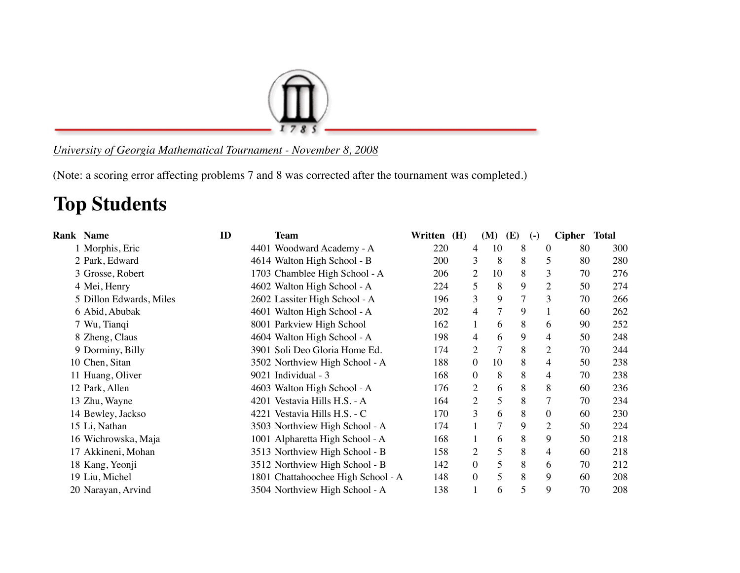

## *University of Georgia Mathematical Tournament - November 8, 2008*

(Note: a scoring error affecting problems 7 and 8 was corrected after the tournament was completed.)

## **Top Students**

| <b>Rank Name</b>        | ID | <b>Team</b>                        | Written (H) | (M)                      | (E) | $\left( -\right)$ | <b>Cipher</b> | Total |
|-------------------------|----|------------------------------------|-------------|--------------------------|-----|-------------------|---------------|-------|
| 1 Morphis, Eric         |    | 4401 Woodward Academy - A          | 220         | 10<br>4                  | 8   | $\theta$          | 80            | 300   |
| 2 Park, Edward          |    | 4614 Walton High School - B        | 200         | 8<br>3                   | 8   | 5                 | 80            | 280   |
| 3 Grosse, Robert        |    | 1703 Chamblee High School - A      | 206         | 10<br>$\mathbf{2}$       | 8   | 3                 | 70            | 276   |
| 4 Mei, Henry            |    | 4602 Walton High School - A        | 224         | 8<br>5                   | 9   | $\overline{c}$    | 50            | 274   |
| 5 Dillon Edwards, Miles |    | 2602 Lassiter High School - A      | 196         | 3<br>9                   | 7   | 3                 | 70            | 266   |
| 6 Abid, Abubak          |    | 4601 Walton High School - A        | 202         | $\tau$<br>$\overline{4}$ | 9   |                   | 60            | 262   |
| 7 Wu, Tianqi            |    | 8001 Parkview High School          | 162         | 6                        | 8   | 6                 | 90            | 252   |
| 8 Zheng, Claus          |    | 4604 Walton High School - A        | 198         | 6<br>4                   | 9   | 4                 | 50            | 248   |
| 9 Dorminy, Billy        |    | 3901 Soli Deo Gloria Home Ed.      | 174         | $\tau$<br>2              | 8   | $\overline{c}$    | 70            | 244   |
| 10 Chen, Sitan          |    | 3502 Northview High School - A     | 188         | $\boldsymbol{0}$<br>10   | 8   | 4                 | 50            | 238   |
| 11 Huang, Oliver        |    | 9021 Individual - 3                | 168         | 8<br>$\boldsymbol{0}$    | 8   | 4                 | 70            | 238   |
| 12 Park, Allen          |    | 4603 Walton High School - A        | 176         | $\overline{2}$<br>6      | 8   | 8                 | 60            | 236   |
| 13 Zhu, Wayne           |    | 4201 Vestavia Hills H.S. - A       | 164         | 5<br>$\overline{2}$      | 8   | $\overline{7}$    | 70            | 234   |
| 14 Bewley, Jackso       |    | 4221 Vestavia Hills H.S. - C       | 170         | 3<br>6                   | 8   | $\overline{0}$    | 60            | 230   |
| 15 Li, Nathan           |    | 3503 Northview High School - A     | 174         | 7                        | 9   | $\overline{c}$    | 50            | 224   |
| 16 Wichrowska, Maja     |    | 1001 Alpharetta High School - A    | 168         | 6                        | 8   | 9                 | 50            | 218   |
| 17 Akkineni, Mohan      |    | 3513 Northview High School - B     | 158         | 5<br>2                   | 8   | 4                 | 60            | 218   |
| 18 Kang, Yeonji         |    | 3512 Northview High School - B     | 142         | 5<br>$\mathbf{0}$        | 8   | 6                 | 70            | 212   |
| 19 Liu, Michel          |    | 1801 Chattahoochee High School - A | 148         | 5<br>$\boldsymbol{0}$    | 8   | 9                 | 60            | 208   |
| 20 Narayan, Arvind      |    | 3504 Northview High School - A     | 138         | 6                        | 5   | 9                 | 70            | 208   |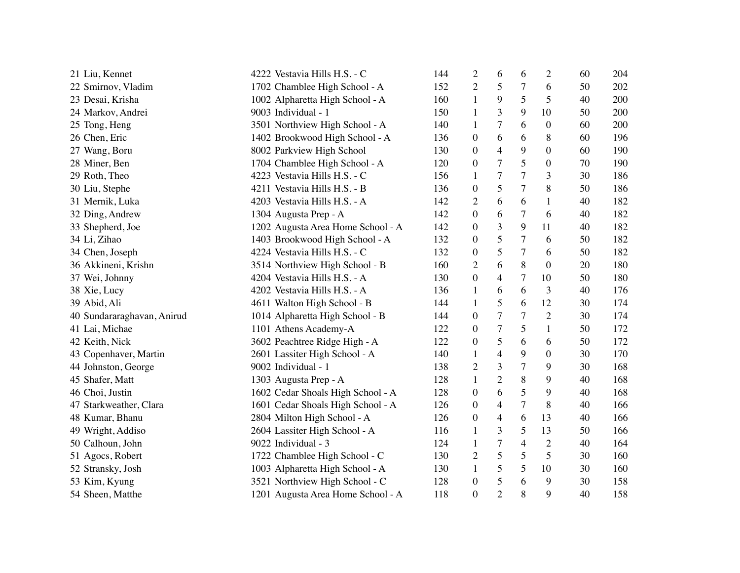| 21 Liu, Kennet             | 4222 Vestavia Hills H.S. - C      | 144 | $\overline{c}$   | 6              | 6              | $\overline{c}$   | 60 | 204 |
|----------------------------|-----------------------------------|-----|------------------|----------------|----------------|------------------|----|-----|
| 22 Smirnov, Vladim         | 1702 Chamblee High School - A     | 152 | $\overline{2}$   | 5              | 7              | 6                | 50 | 202 |
| 23 Desai, Krisha           | 1002 Alpharetta High School - A   | 160 | 1                | 9              | 5              | 5                | 40 | 200 |
| 24 Markov, Andrei          | 9003 Individual - 1               | 150 | 1                | 3              | 9              | 10               | 50 | 200 |
| 25 Tong, Heng              | 3501 Northview High School - A    | 140 | 1                | 7              | 6              | $\overline{0}$   | 60 | 200 |
| 26 Chen, Eric              | 1402 Brookwood High School - A    | 136 | $\boldsymbol{0}$ | 6              | 6              | 8                | 60 | 196 |
| 27 Wang, Boru              | 8002 Parkview High School         | 130 | $\boldsymbol{0}$ | 4              | 9              | 0                | 60 | 190 |
| 28 Miner, Ben              | 1704 Chamblee High School - A     | 120 | $\boldsymbol{0}$ | 7              | 5              | $\boldsymbol{0}$ | 70 | 190 |
| 29 Roth, Theo              | 4223 Vestavia Hills H.S. - C      | 156 | $\mathbf{1}$     | 7              | $\overline{7}$ | 3                | 30 | 186 |
| 30 Liu, Stephe             | 4211 Vestavia Hills H.S. - B      | 136 | $\boldsymbol{0}$ | 5              | 7              | 8                | 50 | 186 |
| 31 Mernik, Luka            | 4203 Vestavia Hills H.S. - A      | 142 | $\overline{2}$   | 6              | 6              | 1                | 40 | 182 |
| 32 Ding, Andrew            | 1304 Augusta Prep - A             | 142 | $\boldsymbol{0}$ | 6              | 7              | 6                | 40 | 182 |
| 33 Shepherd, Joe           | 1202 Augusta Area Home School - A | 142 | $\boldsymbol{0}$ | 3              | 9              | 11               | 40 | 182 |
| 34 Li, Zihao               | 1403 Brookwood High School - A    | 132 | $\boldsymbol{0}$ | 5              | $\tau$         | 6                | 50 | 182 |
| 34 Chen, Joseph            | 4224 Vestavia Hills H.S. - C      | 132 | $\boldsymbol{0}$ | 5              | $\tau$         | 6                | 50 | 182 |
| 36 Akkineni, Krishn        | 3514 Northview High School - B    | 160 | $\overline{2}$   | 6              | 8              | $\boldsymbol{0}$ | 20 | 180 |
| 37 Wei, Johnny             | 4204 Vestavia Hills H.S. - A      | 130 | $\boldsymbol{0}$ | 4              | $\tau$         | 10               | 50 | 180 |
| 38 Xie, Lucy               | 4202 Vestavia Hills H.S. - A      | 136 | $\mathbf{1}$     | 6              | 6              | 3                | 40 | 176 |
| 39 Abid, Ali               | 4611 Walton High School - B       | 144 | $\mathbf{1}$     | 5              | 6              | 12               | 30 | 174 |
| 40 Sundararaghavan, Anirud | 1014 Alpharetta High School - B   | 144 | $\boldsymbol{0}$ | 7              | $\tau$         | $\mathbf{2}$     | 30 | 174 |
| 41 Lai, Michae             | 1101 Athens Academy-A             | 122 | $\boldsymbol{0}$ | 7              | 5              | $\mathbf{1}$     | 50 | 172 |
| 42 Keith, Nick             | 3602 Peachtree Ridge High - A     | 122 | $\boldsymbol{0}$ | 5              | 6              | 6                | 50 | 172 |
| 43 Copenhaver, Martin      | 2601 Lassiter High School - A     | 140 | $\mathbf{1}$     | 4              | 9              | $\boldsymbol{0}$ | 30 | 170 |
| 44 Johnston, George        | 9002 Individual - 1               | 138 | $\overline{2}$   | 3              | $\tau$         | 9                | 30 | 168 |
| 45 Shafer, Matt            | 1303 Augusta Prep - A             | 128 | $\mathbf{1}$     | $\overline{2}$ | $8\,$          | 9                | 40 | 168 |
| 46 Choi, Justin            | 1602 Cedar Shoals High School - A | 128 | $\boldsymbol{0}$ | 6              | 5              | 9                | 40 | 168 |
| 47 Starkweather, Clara     | 1601 Cedar Shoals High School - A | 126 | $\boldsymbol{0}$ | 4              | $\tau$         | 8                | 40 | 166 |
| 48 Kumar, Bhanu            | 2804 Milton High School - A       | 126 | 0                | 4              | 6              | 13               | 40 | 166 |
| 49 Wright, Addiso          | 2604 Lassiter High School - A     | 116 | 1                | 3              | 5              | 13               | 50 | 166 |
| 50 Calhoun, John           | 9022 Individual - 3               | 124 | 1                | 7              | $\overline{4}$ | $\mathbf{2}$     | 40 | 164 |
| 51 Agocs, Robert           | 1722 Chamblee High School - C     | 130 | $\overline{2}$   | 5              | 5              | 5                | 30 | 160 |
| 52 Stransky, Josh          | 1003 Alpharetta High School - A   | 130 | 1                | 5              | 5              | 10               | 30 | 160 |
| 53 Kim, Kyung              | 3521 Northview High School - C    | 128 | $\boldsymbol{0}$ | 5              | 6              | 9                | 30 | 158 |
| 54 Sheen, Matthe           | 1201 Augusta Area Home School - A | 118 | $\overline{0}$   | $\overline{2}$ | 8              | 9                | 40 | 158 |